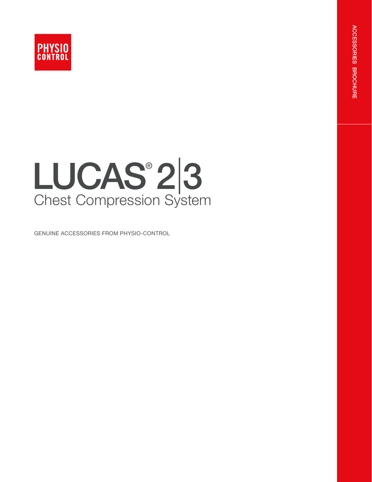

# LUCAS<sup>®</sup>23 Chest Compression System

GENUINE ACCESSORIES FROM PHYSIO-CONTROL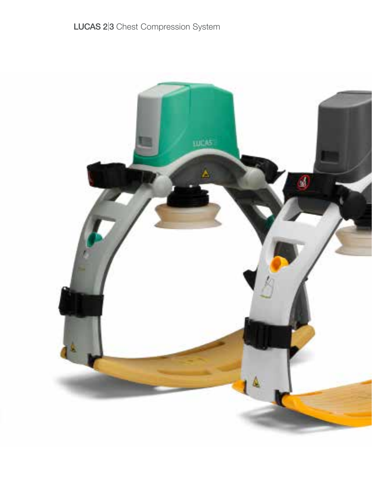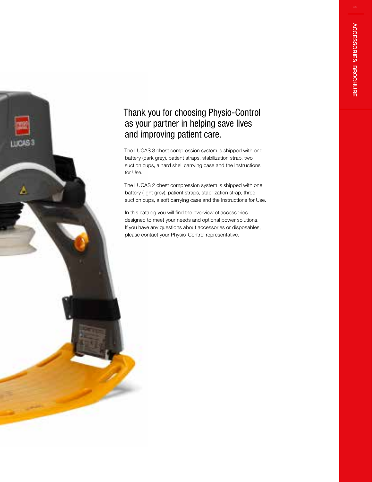-



### Thank you for choosing Physio-Control as your partner in helping save lives and improving patient care.

The LUCAS 3 chest compression system is shipped with one battery (dark grey), patient straps, stabilization strap, two suction cups, a hard shell carrying case and the Instructions for Use.

The LUCAS 2 chest compression system is shipped with one battery (light grey), patient straps, stabilization strap, three suction cups, a soft carrying case and the Instructions for Use.

In this catalog you will find the overview of accessories designed to meet your needs and optional power solutions. If you have any questions about accessories or disposables, please contact your Physio-Control representative.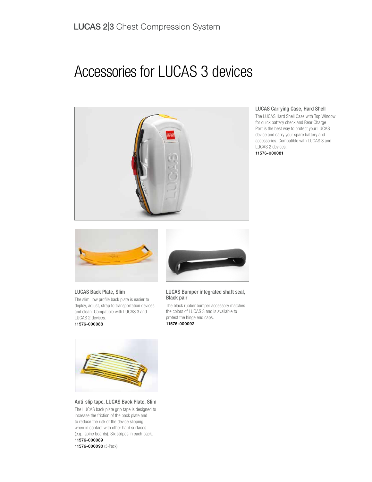### Accessories for LUCAS 3 devices



#### LUCAS Carrying Case, Hard Shell

The LUCAS Hard Shell Case with Top Window for quick battery check and Rear Charge Port is the best way to protect your LUCAS device and carry your spare battery and accessories. Compatible with LUCAS 3 and LUCAS 2 devices. 11576-000081



#### LUCAS Back Plate, Slim

The slim, low profile back plate is easier to deploy, adjust, strap to transportation devices and clean. Compatible with LUCAS 3 and LUCAS 2 devices.

#### 11576-000088



LUCAS Bumper integrated shaft seal, Black pair

The black rubber bumper accessory matches the colors of LUCAS 3 and is available to protect the hinge end caps. 11576-000092



Anti-slip tape, LUCAS Back Plate, Slim The LUCAS back plate grip tape is designed to increase the friction of the back plate and to reduce the risk of the device slipping when in contact with other hard surfaces (e.g., spine boards). Six stripes in each pack. 11576-000089 11576-000090 (3-Pack)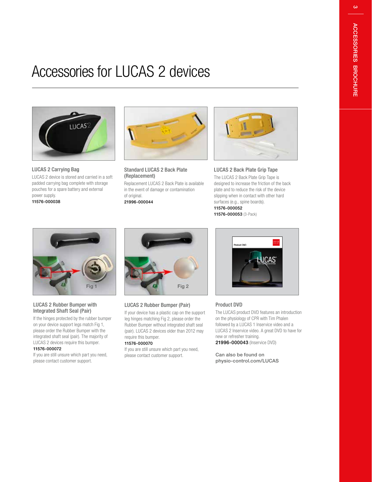### Accessories for LUCAS 2 devices



LUCAS 2 Carrying Bag LUCAS 2 device is stored and carried in a soft padded carrying bag complete with storage pouches for a spare battery and external power supply.

11576-000038



Standard LUCAS 2 Back Plate (Replacement)

Replacement LUCAS 2 Back Plate is available in the event of damage or contamination of original. 21996-000044

LUCAS 2 Back Plate Grip Tape The LUCAS 2 Back Plate Grip Tape is designed to increase the friction of the back plate and to reduce the risk of the device slipping when in contact with other hard

surfaces (e.g., spine boards). 11576-000052

11576-000053 (3-Pack)



#### LUCAS 2 Rubber Bumper with Integrated Shaft Seal (Pair)

If the hinges protected by the rubber bumper on your device support legs match Fig 1, please order the Rubber Bumper with the integrated shaft seal (pair). The majority of LUCAS 2 devices require this bumper.

#### 11576-000072

If you are still unsure which part you need, please contact customer support.



#### LUCAS 2 Rubber Bumper (Pair)

If your device has a plastic cap on the support leg hinges matching Fig 2, please order the Rubber Bumper without integrated shaft seal (pair). LUCAS 2 devices older than 2012 may require this bumper.

#### 11576-000070

If you are still unsure which part you need, please contact customer support.



#### Product DVD

The LUCAS product DVD features an introduction on the physiology of CPR with Tim Phalen followed by a LUCAS 1 Inservice video and a LUCAS 2 Inservice video. A great DVD to have for new or refresher training. 21996-000043 (Inservice DVD)

Can also be found on physio-control.com/LUCAS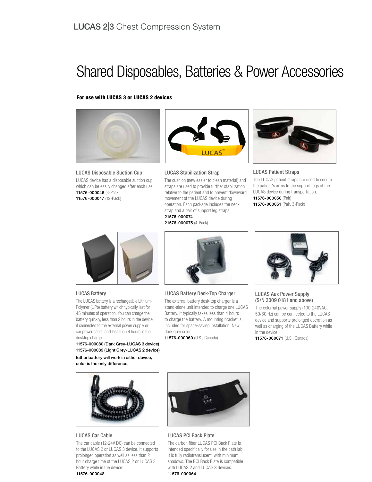### Shared Disposables, Batteries & Power Accessories

#### For use with LUCAS 3 or LUCAS 2 devices



#### LUCAS Disposable Suction Cup

LUCAS device has a disposable suction cup which can be easily changed after each use. 11576-000046 (3-Pack) 11576-000047 (12-Pack)



#### LUCAS Stabilization Strap

The cushion (new easier to clean material) and straps are used to provide further stabilization relative to the patient and to prevent downward movement of the LUCAS device during operation. Each package includes the neck strap and a pair of support leg straps.

21576-000074 21576-000075 (4-Pack)



#### LUCAS Patient Straps The LUCAS patient straps are used to secure the patient's arms to the support legs of the LUCAS device during transportation. 11576-000050 (Pair) 11576-000051 (Pair, 3-Pack)



#### LUCAS Battery

The LUCAS battery is a rechargeable Lithium-Polymer (LiPo) battery which typically last for 45 minutes of operation. You can charge the battery quickly, less than 2 hours in the device if connected to the external power supply or car power cable, and less than 4 hours in the desktop charger.

11576-000080 (Dark Grey-LUCAS 3 device) 11576-000039 (Light Grey-LUCAS 2 device)

Either battery will work in either device, color is the only difference.



#### LUCAS Battery Desk-Top Charger

The external battery desk-top charger is a stand-alone unit intended to charge one LUCAS Battery. It typically takes less than 4 hours to charge the battery. A mounting bracket is included for space-saving installation. New dark grey color.

11576-000060 (U.S , Canada)



#### LUCAS Aux Power Supply (S/N 3009 0181 and above)

The external power supply (100-240VAC, 50/60 Hz) can be connected to the LUCAS device and supports prolonged operation as well as charging of the LUCAS Battery while in the device.

11576-000071 (U.S., Canada)



#### LUCAS Car Cable

The car cable (12-24V DC) can be connected to the LUCAS 2 or LUCAS 3 device. It supports prolonged operation as well as less than 2 hour charge time of the LUCAS 2 or LUCAS 3 Battery while in the device. 11576-000048



#### LUCAS PCI Back Plate

The carbon fiber LUCAS PCI Back Plate is intended specifically for use in the cath lab. It is fully radiotranslucent, with minimum shadows. The PCI Back Plate is compatible with LUCAS 2 and LUCAS 3 devices. 11576-000064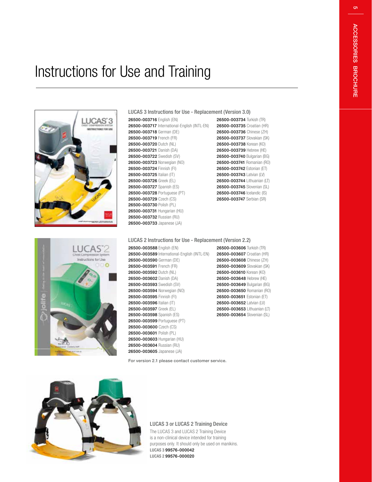## Instructions for Use and Training





#### LUCAS 3 Instructions for Use - Replacement (Version 3.0)

26500-003716 English (EN) 26500-003717 International-English (INTL-EN) 26500-003718 German (DE) 26500-003719 French (FR) 26500-003720 Dutch (NL) 26500-003721 Danish (DA) 26500-003722 Swedish (SV) 26500-003723 Norwegian (NO) 26500-003724 Finnish (FI) 26500-003725 Italian (IT) 26500-003726 Greek (EL) 26500-003727 Spanish (ES) 26500-003728 Portuguese (PT) 26500-003729 Czech (CS) 26500-003730 Polish (PL) 26500-003731 Hungarian (HU) 26500-003732 Russian (RU) 26500-003733 Japanese (JA)

26500-003734 Turkish (TR) 26500-003735 Croatian (HR) 26500-003736 Chinese (ZH) 26500-003737 Slovakian (SK) 26500-003738 Korean (KO) 26500-003739 Hebrew (HE) 26500-003740 Bulgarian (BG) 26500-003741 Romanian (RO) 26500-003742 Estonian (ET) 26500-003743 Latvian (LV) 26500-003744 Lithuanian (LT) 26500-003745 Slovenian (SL) 26500-003746 Icelandic (IS) 26500-003747 Serbian (SR)

#### LUCAS 2 Instructions for Use - Replacement (Version 2.2)

26500-003588 English (EN) 26500-003589 International-English (INTL-EN) 26500-003590 German (DE) 26500-003591 French (FR) 26500-003592 Dutch (NL) 26500-003602 Danish (DA) 26500-003593 Swedish (SV) 26500-003594 Norwegian (NO) 26500-003595 Finnish (FI) 26500-003596 Italian (IT) 26500-003597 Greek (EL) 26500-003598 Spanish (ES) 26500-003599 Portuguese (PT) 26500-003600 Czech (CS) 26500-003601 Polish (PL) 26500-003603 Hungarian (HU) 26500-003604 Russian (RU) 26500-003605 Japanese (JA)

26500-003606 Turkish (TR) 26500-003607 Croatian (HR) 26500-003608 Chinese (ZH) 26500-003609 Slovakian (SK) 26500-003610 Korean (KO) 26500-003648 Hebrew (HE) 26500-003649 Bulgarian (BG) 26500-003650 Romanian (RO) 26500-003651 Estonian (ET) 26500-003652 Latvian (LV) 26500-003653 Lithuanian (LT) 26500-003654 Slovenian (SL)

For version 2.1 please contact customer service.



#### LUCAS 3 or LUCAS 2 Training Device

The LUCAS 3 and LUCAS 2 Training Device is a non-clinical device intended for training purposes only. It should only be used on manikins. LUCAS 3 99576-000042 LUCAS 2 99576-000020